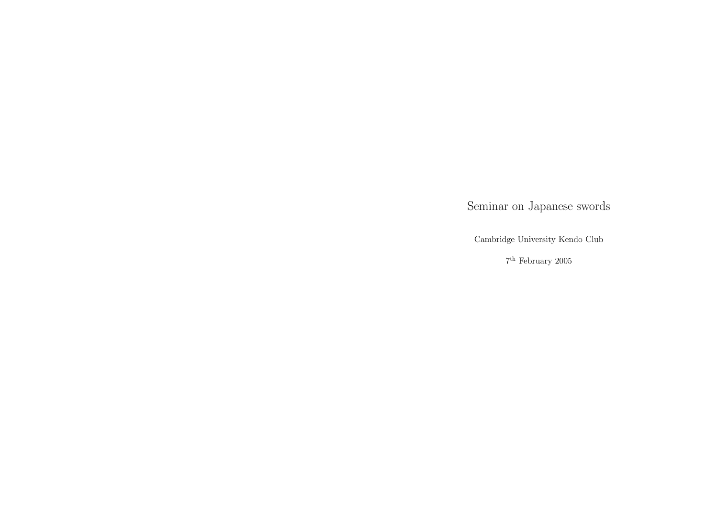Seminar on Japanese swords

Cambridge University Kendo Club

7th February <sup>2005</sup>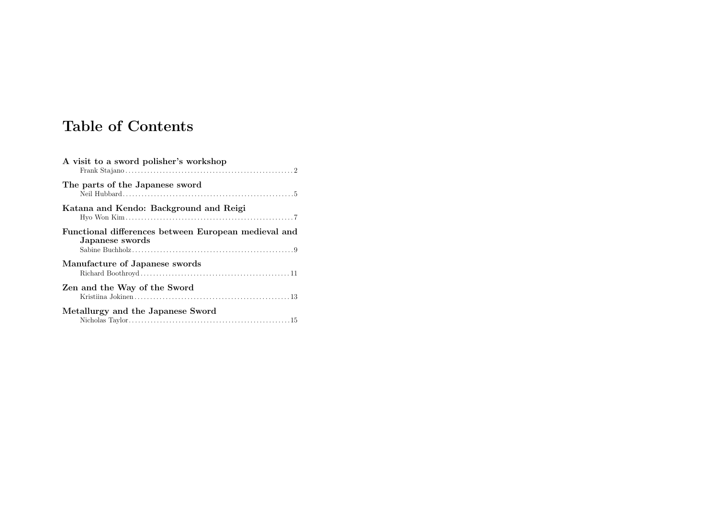# Table of Contents

| A visit to a sword polisher's workshop                                  |
|-------------------------------------------------------------------------|
| The parts of the Japanese sword                                         |
| Katana and Kendo: Background and Reigi                                  |
| Functional differences between European medieval and<br>Japanese swords |
| Manufacture of Japanese swords                                          |
| Zen and the Way of the Sword                                            |
| Metallurgy and the Japanese Sword                                       |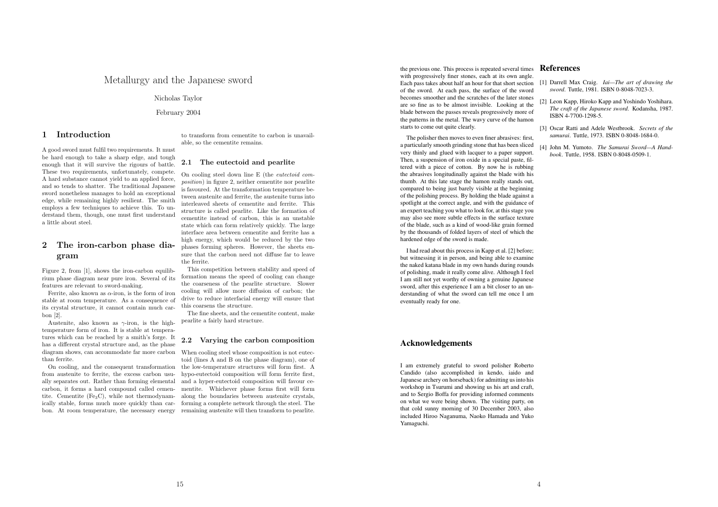# Metallurgy and the Japanese sword

Nicholas Taylor

February <sup>2004</sup>

# 1 Introductio n

A good sword must fulfil two requirements. It must be hard enoug<sup>h</sup> to take <sup>a</sup> sharp edge, and tough enough that it will survive the rigours of battle. These two requirements, unfortunately, co mpete.A hard substance cannot yield to an applied force, and so tends to shatter. The traditional Japanese sword nonetheless manages to hold an exceptional edge, while remaining highly resilient. The smith employs <sup>a</sup> few techniques to achieve this. To understand them, though, one must first understanda little about steel.

# 2 The iron-carbon phase dia-gram

Figure 2, from [1], shows the iron-carbon equilib-<br> $\ddot{\mathbf{r}}$  is the integration of the state of the state of the state of the state of the state of the state of the state of the state of the state of the state of the st rium <sup>p</sup>hase diagram near pure iron. Several of its features are relevant to sword-making.

Ferrite, also known as  $\alpha$ -iron, is the form of iron stable at room temperature. As a consequence of its crystal structure, it cannot contain much carbon [2].

Austenite, also known as  $\gamma$ -iron, is the hightemperature form of iron. It is stable at temperatures which can be reached by a smith's forge. It has <sup>a</sup> different crystal structure and, as the <sup>p</sup>hase diagram sho ws, can accommodate far more carbon than ferrite.

On cooling, and the consequent transformation from austenite to ferrite, the excess carbon usufrom austenite to ferrite, the excess carbon usu-<br>ally separates out. Rather than forming elemental carbon, it forms <sup>a</sup> hard co mpound called cementite. Cementite (Fe3C), while not ther modynam ically stable, forms much more quickly than carbon.At room temperature, the necessary energy

to transform from cementite to carbon is unavailable, so the cementite remains.

# 2.1 <sup>T</sup>he <sup>e</sup>utectoid and pearlite

 On cooling steel do wn line <sup>E</sup>On cooling steel down line E (the *eutectoid com- position*) in figure 2, neither cementite nor pearlite is favoured. At the transformation temperature between austenite and ferrite, the austenite turns into interleaved sheets of cementite and ferrite. This structure is called pearlite. Like the formation of cementite instead of carbon, this is an unstable state which can form relatively quickly. The large interface area bet ween cementite and ferrite has <sup>a</sup> high energy, which would be reduced by the two phases forming spheres. However, the sheets ensure that the carbon need not diffuse far to leave the ferrite.

This competition between stability and speed of formation means the speed of cooling can change the coarseness of the pearlite structure. Slower cooling will allow more diffusion of carbon; the drive to reduce interfacial energy will ensure that this coarsens the structure.

The fine sheets, and the cementite content, make pearlite <sup>a</sup> fairly hard structure.

# 2.2 Varying the carbon composition

 When cooling steel whose composition is not eutec toid (lines A and <sup>B</sup> on the <sup>p</sup>hase diagram), one of the low-temperature structures will form first. <sup>A</sup> hypo-eutectoid composition will form ferrite first, and <sup>a</sup> hyper-eutectoid co mposition will favour cementite. Whichever <sup>p</sup>hase forms first will form along the boundaries bet ween austenite crystals, forming a complete network through the steel. The remaining austenite will then transform to pearlite.

the previous one. This process is repeated several times **References** with progressively finer stones, each at its own angle. Each pass takes about half an hour for that short section of the sword. At each pass, the surface of the sword becomes smoother and the scratches of the later stones are so fine as to be almost invisible. Looking at the blade between the passes reveals progressively more of the patterns in the metal. The wavy curve of the hamon starts to come out quite clearly.

The polisher then moves to even finer abrasives: first, a particularly smooth grinding stone that has been sliced very thinly and <sup>g</sup>lued with lacquer to <sup>a</sup> paper support. Then, <sup>a</sup> suspension of iron oxide in <sup>a</sup> special paste, filtered with <sup>a</sup> <sup>p</sup>iece of cotton. By no w he is rubbing the abrasives longitudinally against the blade with his thumb. At this late stage the hamon really stands out, compared to being just barely visible at the beginning of the polishing process. By holding the blade against <sup>a</sup> spotlight at the correct angle, and with the guidance of an exper<sup>t</sup> teaching you what to look for, at this stage you may also see more subtle effects in the surface texture of the blade, such as <sup>a</sup> kind of wood-like grain formed by the thousands of folded layers of steel of which the hardened edge of the sword is made.

I had read about this process in Kapp et al. [2] before; but witnessing it in person, and being able to examine the naked katana blade in my own hands during rounds of polishing, made it really come alive. Although <sup>I</sup> feel I am still not ye<sup>t</sup> worthy of owning <sup>a</sup> genuine Japanese sword, after this experience I am a bit closer to an understanding of what the sword can tell me once <sup>I</sup> ameventually ready for one.

### Acknowledgements

I am extremely grateful to sword polisher Roberto Candido (also accomplished in kendo, iaido and Japanese archery on horseback) for admitting usinto his workshop in Tsurumi and showing us his art and craft, and to Sergio Boffa for providing informed comments on what we were being shown. The visiting party, on that cold sunny morning of <sup>30</sup> December 2003, also included Hiroo Naganuma, Naoko Hamada and YukoYamaguchi.

- [1] Darrell Max Craig. Iai—The art of drawing the sword. Tuttle, 1981. ISBN 0-8048-7023-3.
- [2] Leon Kapp, Hiroko Kapp and Yoshindo Yoshihara. The craft of the Japanese sword. Kodansha, 1987. ISBN 4-7700-1298-5.
- [3] Oscar Ratti and Adele Westbrook. *Secrets of the* samurai. Tuttle, 1973. ISBN 0-8048-1684-0.
- [4] John M. Yumoto. The Samurai Sword—A Handbook. Tuttle, 1958. ISBN 0-8048-0509-1.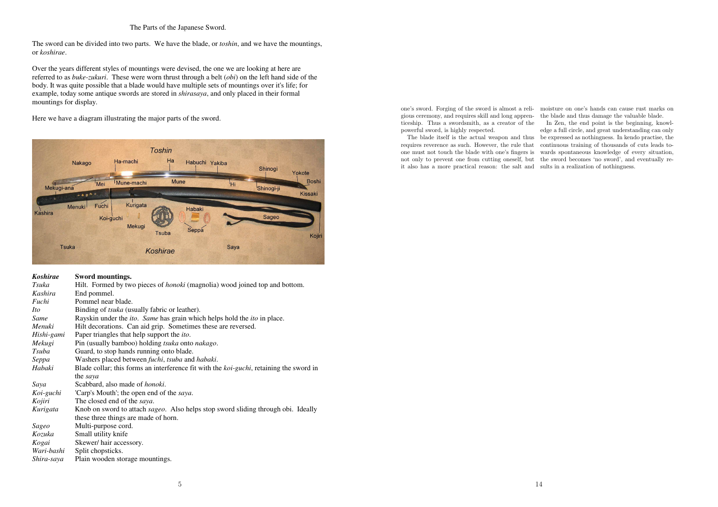The Parts of the Japanese Sword.

The sword can be divided into two parts. We have the blade, or *toshin*, and we have the mountings, or koshirae.

Over the years different styles of mountings were devised, the one we are looking at here are referred to as *buke-zukuri*. These were worn thrust through a belt (*obi*) on the left hand side of the body. It was quite possible that <sup>a</sup> blade would have multiple sets of mountings over it's life; for example, today some antique swords are stored in *shirasaya*, and only placed in their formal mountings for display.

Here we have <sup>a</sup> diagram illustrating the major parts of the sword.



#### Koshiraee Sword mountings.

|            | $\cup$ , or $\mathbf u$ invariance.                                                             |
|------------|-------------------------------------------------------------------------------------------------|
| Tsuka      | Hilt. Formed by two pieces of <i>honoki</i> (magnolia) wood joined top and bottom.              |
| Kashira    | End pommel.                                                                                     |
| Fuchi      | Pommel near blade.                                                                              |
| Ito        | Binding of <i>tsuka</i> (usually fabric or leather).                                            |
| Same       | Rayskin under the <i>ito</i> . Same has grain which helps hold the <i>ito</i> in place.         |
| Menuki     | Hilt decorations. Can aid grip. Sometimes these are reversed.                                   |
| Hishi-gami | Paper triangles that help support the <i>ito</i> .                                              |
| Mekugi     | Pin (usually bamboo) holding <i>tsuka</i> onto <i>nakago</i> .                                  |
| Tsuba      | Guard, to stop hands running onto blade.                                                        |
| Seppa      | Washers placed between fuchi, tsuba and habaki.                                                 |
| Habaki     | Blade collar; this forms an interference fit with the <i>koi-guchi</i> , retaining the sword in |
|            | the saya                                                                                        |
| Saya       | Scabbard, also made of <i>honoki</i> .                                                          |
| Koi-guchi  | 'Carp's Mouth'; the open end of the <i>saya</i> .                                               |
| Kojiri     | The closed end of the saya.                                                                     |
| Kurigata   | Knob on sword to attach <i>sageo</i> . Also helps stop sword sliding through obi. Ideally       |
|            | these three things are made of horn.                                                            |
| Sageo      | Multi-purpose cord.                                                                             |
| Kozuka     | Small utility knife                                                                             |
| Kogai      | Skewer/hair accessory.                                                                          |
| Wari-bashi | Split chopsticks.                                                                               |
| Shira-saya | Plain wooden storage mountings.                                                                 |
|            |                                                                                                 |

one's sword. Forging of the sword is almost <sup>a</sup> reli- moisture on one's hands can cause rust marks on gious ceremony, and requires skill and long appren-the blade and thus damage the valuable blade. ticeship. Thus <sup>a</sup> swordsmith, as <sup>a</sup> creator of the powerful sword, is highly respected.

it also has a more practical reason: the salt and sults in a realization of nothingness.

The blade itself is the actual weapon and thus be expressed as nothingness. In kendo practise, the requires reverence as such. However, the rule that continuous training of thousands of cuts leads to one must not touch the blade with one's fingers is wards spontaneous knowledge of every situation, not only to prevent one from cutting oneself, but the sword becomes 'no sword', and eventually re-In Zen, the end point is the beginning, knowl-In Zen, the end point is the beginning, knowledge a full circle, and great understanding can only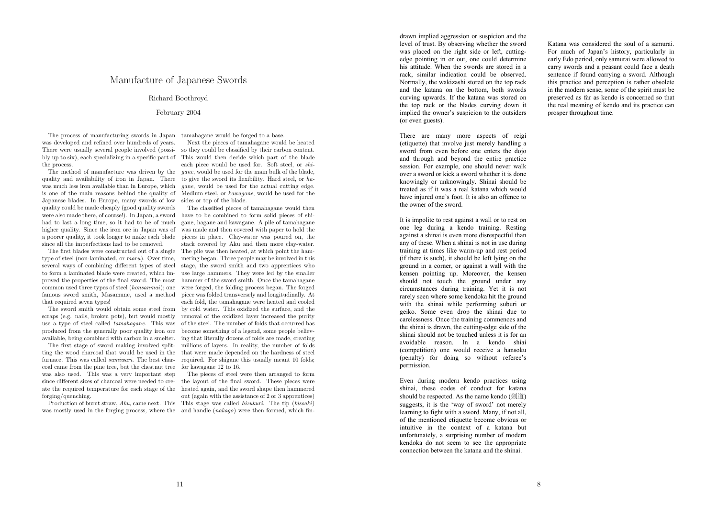# Manufacture of Japanese <sup>S</sup>words

Richard Boothroyd

# February <sup>2004</sup>

The process of manufacturing swords in Japan tamahaganewould be forged to <sup>a</sup> base. was developed and refined over hundreds of years. There were usually several people involvedThere were usually several people involved (possi- so they could be classified by their carbon content.<br>bly up to six), each specializing in a specific part of This would then decide which part of the blade the process.

The method of manufacture was driven by the quality and availability of iron in Japan. There was much less iron available than in Europe, which is one of the main reasons behind the quality of Japanese blades. In Europe, many swords of low quality could be made cheaply (good quality swords were also made there, of course!). In Japan, <sup>a</sup> sword had to last <sup>a</sup> long time, so it had to be of much higher quality. Since the iron ore in Japan was of a poorer quality, it took longer to make each blade since all the imperfections had to be removed.

The first blades were constructed out of <sup>a</sup> single type of steel (non-laminated, or maru). Over time, several ways of combining different types of steel to form <sup>a</sup> laminated blade were created, whichto form a laminated blade were created, which im-<br>proved the properties of the final sword. The most common used three types of steel (honsanmai); one famous sword smith, Masamune, used <sup>a</sup> method that required seven types!

The sword smith would obtain some steel from scraps (e.g. nails, broken pots), but would mostly use <sup>a</sup> type of steel called tamahagane. This was produced from the generally poor quality iron ore available, being combined with carbon in a smelter.

 The first stage of sword making involved splitting the wood charcoal that would be used in the furnace. This was called furnace. This was called *sumiwari*. The best char-<br>coal came from the pine tree, but the chestnut tree was also used. This was <sup>a</sup> very important step since different sizes of charcoal were needed to cre- the layout of the final sword. These <sup>p</sup>ieces wereforging/quenching.

was mostly used in the forging process, where the and handle (*nakago*) were then formed, which fin-

 Next the <sup>p</sup>ieces of tamahagane would be heated so they could be classified by their carbon content. each <sup>p</sup>iece would be used for. Soft steel, or shigane, would be used for the main bulk of the blade, to give the sword its flexibility. Hard steel, or hagane, would be used for the actual cutting edge. Medium steel, or *kawagane*, would be used for the sides or top of the blade.

The classified <sup>p</sup>ieces of tamahagane would then have to be co mbined to formhave to be combined to form solid pieces of shi-<br>gane, hagane and kawagane. A pile of tamahagane was made and then covered with paper to hold the pieces in <sup>p</sup>lace. Clay-water was poured on, the stack covered by Aku and then more clay-water. The <sup>p</sup>ile was then heated, at which point the ha mmering began. Three people may be involved in this stage, the sword smith and two apprentices who use large hammers. Theywere led by the smaller hammer of the sword smith. Once the tamahagane were forged, the folding process began. The forged piecewas folded transversely and longitudinally. At each fold, the tamahagane were heated and cooled by cold water. This oxidized the surface, and the removal of the oxidized layer increased the purity of the steel. The number of folds that occurred has become something of <sup>a</sup> legend, some people believ ing that literally dozens of folds are made, creating millions of layers. In reality, the number of folds that were made depended on the hardness of steel required. For shigane this usually meant <sup>10</sup> folds; for kawagane <sup>12</sup> to 16.

ate the required temperature for each stage of the heated again, and the sword shape then hammered Production of burnt straw, Aku, came next. This This stage was called hizukuri. The tip (kissaki) The <sup>p</sup>ieces of steel were then arranged to formout (again with the assistance of <sup>2</sup> or <sup>3</sup> apprentices)

drawn implied aggression or suspicion and the level of trust. By observing whether the sword was placed on the right side or left, cuttingedge pointing in or out, one could determine his attitude. When the swords are stored in a rack, similar indication could be observed. Normally, the wakizashi stored on the top rack and the katana on the bottom, both swords curving upwards. If the katana was stored on the top rack or the blades curving down it implied the owner's suspicion to the outsiders (or even guests).

There are many more aspects of reigi (etiquette) that involve just merely handling asword from even before one enters the dojo and through and beyond the entire practice session. For example, one should never walk over a sword or kick a sword whether it is done knowingly or unknowingly. Shinai should be treated as if it was a real katana which would have injured one's foot. It is also an offence to the owner of the sword.

It is impolite to rest against a wall or to rest on one leg during a kendo training. Resting against a shinai is even more disrespectful than any of these. When a shinai is not in use during training at times like warm-up and rest period (if there is such), it should be left lying on the ground in a corner, or against a wall with the kensen pointing up. Moreover, the kensen should not touch the ground under any circumstances during training. Yet it is not rarely seen where some kendoka hit the ground with the shinai while performing suburi or geiko. Some even drop the shinai due to carelessness. Once the training commences and the shinai is drawn, the cutting-edge side of the shinai should not be touched unless it is for an avoidable reason. In a kendo shiai (competition) one would receive a hansoku (penalty) for doing so without referee's permission.

Even during modern kendo practices using shinai, these codes of conduct for katana should be respected. As the name kendo (劍道) suggests, it is the 'way of sword' not merely learning to fight with a sword. Many, if not all, of the mentioned etiquette become obvious or intuitive in the context of a katana but unfortunately, a surprising number of modern kendoka do not seem to see the appropriate connection between the katana and the shinai.

Katana was considered the soul of a samurai. For much of Japan's history, particularly in early Edo period, only samurai were allowed to carry swords and a peasant could face a death sentence if found carrying a sword. Although this practice and perception is rather obsolete in the modern sense, some of the spirit must be preserved as far as kendo is concerned so that the real meaning of kendo and its practice canprosper throughout time.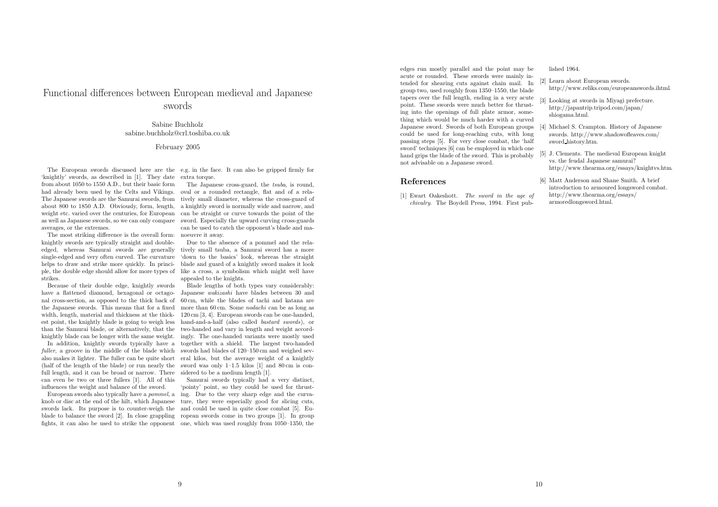# Functional differences between European medieval and Japanese swords

#### Sabine Buchholz sabine.buchholz@crl.toshiba.co.uk

## February <sup>2005</sup>

The European swords discussed here are the e.g. in the face. It can also be gripped firmly for 'knightly' swords, as described in [1]. They date extra torque.

from about 1050 to 1550 A.D., but their basic form<br>had also have more has the California Military had already been used by the Celts and Vikings. The Japanese swords are the Samurai swords, from about <sup>800</sup> to <sup>1850</sup> A.D. Obviously, form, length, weight etc. varied over the centuries, for European as well as Japanese swords, so we can only compare averages, or the extremes.

The most striking difference is the overall form: knightly swords are typically straight and doubleknightly swords are typically straight and double-<br>edged, whereas Samurai swords are generally single-edged and very often curved. The curvature helps to draw and strike more quickly. In principle, the double edge should allow for more types of strikes.

 Because of their double edge, knightly swords have <sup>a</sup> flattened diamond, hexagonal or octago nal cross-section, as opposed to the thick back of the Japanese swords. This means that for <sup>a</sup> fixed width, length, material and thickness at the thick est point, the knightly blade is going to weigh less than the Samurai blade, or alternatively, that the knightly blade can be longer with the same weight.

In addition, knightly swords typically have <sup>a</sup> fuller, a groove in the middle of the blade which also makes it lighter. The fuller can be quite short (half of the length of the blade) or run nearly the full length, and it can be broad or narrow. There can even be two or three fullers [1]. All of this influences the weight and balance of the sword.

European swords also typically have <sup>a</sup> pommel, <sup>a</sup>

The Japanese cross-guard, the tsuba, is round, oval or <sup>a</sup> roundedoval or a rounded rectangle, flat and of a rela-<br>tively small diameter, whereas the cross-guard of a knightly sword is normally wide and narrow, and can be straight or curve towards the point of the sword. Especially the upward curving cross-guards can be used to catch the opponent's blade and ma noeuvre it away.

Due to the absence of <sup>a</sup> pomme<sup>l</sup> andDue to the absence of a pommel and the rela-<br>tively small tsuba, a Samurai sword has a more 'down to the basics' look, whereas the straight blade and guard of <sup>a</sup> knightly sword makes it look like <sup>a</sup> cross, <sup>a</sup> symbolism which might well have appealed to the knights.

Blade lengths of both types vary considerably: Japanese wakizashi have blades between <sup>30</sup> and 60 cm, while the blades of tachi and katana are more than 60 cm. Some *nodachi* can be as long as  $120 \text{ cm}$  [3, 4]. European swords can be one-handed, hand-and-a-half (also called bastard swords), or two-handed and vary in length and weight accordtwo-handed and vary in length and weight accord-<br>ingly. The one-handed variants were mostly used together with <sup>a</sup> shield. The largest two-handed swords had blades of 120–150 cmswords had blades of 120–150 cm and weighed sev-<br>eral kilos, but the average weight of a knightly sword was only 1–1.5 kilos [1] and <sup>80</sup> cmis sword was only 1–1.5 kilos [1] and 80 cm is con-<br>sidered to be a medium length [1].<br>Samurai smarks turically had a run distinct

knob or disc at the end of the hilt, which Japanese ture, they were especially good for slicing cuts, swords lack. Its purpose is to counter-weigh the and could be used in quite close combat [5]. Eu blade to balance the sword [2]. In close grappling ropean swords come in two groups [1]. In group fights, it can also be used to strike the opponent one, which was used roughly from  $1050-1350$ , the Samurai swords typically had <sup>a</sup> very distinct, 'pointy' point, so they could be used'pointy' point, so they could be used for thrust-<br>ing. Due to the very sharp edge and the curvaedges run mostly parallel and the point may be acute or rounded. These swords were mainlyacute or rounded. These swords were mainly intended for shearing cuts against chain mail. In group two, used roughly from 1350–1550, the blade tapers over the full length, ending in <sup>a</sup> very acute point. These swords were much better for thrust ing into the openings of full <sup>p</sup>late armor, some thing which would be much harder with <sup>a</sup> curved Japanese sword. Swords of both European groups could be used for long-reaching cuts, with long passing steps [5]. For very close combat, the 'half sword' techniques [6] can be employed in which one hand grips the blade of the sword. This is probably not advisable on <sup>a</sup> Japanese sword. %) y parallel and the point may be<br>
integral in the point may in-<br>
iring cuts against chain mail. In [2] Learn about European swords.<br>
froughly from 1350–1550, the blade<br>
intep://www.reliks.com/europeanswords.ihtml.<br>
full

### References

[1] Ewart Oakeshott. The sword in the age of chivalry. The

- 
- 
- 
- 
- 
-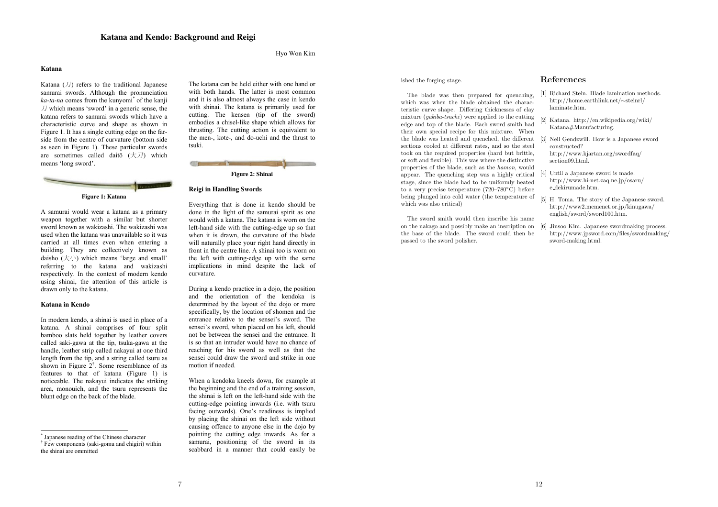#### Hyo Won Kim

#### Katana

Katana  $(\mathcal{I})$  refers to the traditional Japanese samurai swords. Although the pronunciationka-ta-na comes from the kunyomi<sup>\*</sup> of the kanji  $\n *J*$  which means 'sword' in a generic sense, the katana refers to samurai swords which have a characteristic curve and shape as shown in Figure 1. It has a single cutting edge on the farside from the centre of curvature (bottom side<br>as seen in Figure 1). These nextiaular average as seen in Figure 1). These particular swordsare sometimes called daitō  $(\pm 7)$  which means 'long sword'.



A samurai would wear a katana as a primary weapon together with a similar but shorter sword known as wakizashi. The wakizashi was used when the katana was unavailable so it was carried at all times even when entering a building. They are collectively known as daisho  $(\pm \sqrt{2})$  which means 'large and small' referring to the katana and wakizashi respectively. In the context of modern kendo using shinai, the attention of this article is drawn only to the katana.

#### Katana in Kendo

In modern kendo, a shinai is used in place of a katana. A shinai comprises of four split bamboo slats held together by leather covers called saki-gawa at the tip, tsuka-gawa at the handle, leather strip called nakayui at one third length from the tip, and a string called tsuru as shown in Figure  $2^{\dagger}$ . Some resemblance of its features to that of katana (Figure 1) is noticeable. The nakayui indicates the striking area, monouich, and the tsuru represents the blunt edge on the back of the blade.

The katana can be held either with one hand or with both hands. The latter is most common and it is also almost always the case in kendo with shinai. The katana is primarily used for cutting. The kensen (tip of the sword) embodies a chisel-like shape which allows for thrusting. The cutting action is equivalent to the men-, kote-, and do-uchi and the thrust totsuki.



### Reigi in Handling Swords

Everything that is done in kendo should be done in the light of the samurai spirit as one would with a katana. The katana is worn on the left-hand side with the cutting-edge up so that when it is drawn, the curvature of the blade will naturally place your right hand directly in front in the centre line. A shinai too is worn on the left with cutting-edge up with the same implications in mind despite the lack of curvature.

During a kendo practice in a dojo, the position and the orientation of the kendoka is determined by the layout of the dojo or more specifically, by the location of shomen and theentrance relative to the sensei's sword. The sensei's sword, when placed on his left, should not be between the sensei and the entrance. It is so that an intruder would have no chance of reaching for his sword as well as that the sensei could draw the sword and strike in onemotion if needed.

When a kendoka kneels down, for example at the beginning and the end of a training session, the shinai is left on the left-hand side with the cutting-edge pointing inwards (i.e. with tsurufacing outwards). One's readiness is implied by placing the shinai on the left side without causing offence to anyone else in the dojo by pointing the cutting edge inwards. As for a samurai, positioning of the sword in its scabbard in a manner that could easily be ished the forging stage.

The blade was then prepared for quenching, which was when the blade obtained the characteristic curve shape. Differing thicknesses of clay mixture (yakiba-tsuchi) were applied to the cutting edge and top of the blade. Each sword smith had their own special recipe for this mixture. When the blade was heated and quenched, the different sections cooled at different rates, and so the steel took on the required properties (hard but brittle, or soft and flexible). This was where the distinctive properties of the blade, such as the hamon, would appear. The quenching step was <sup>a</sup> highly critical stage, since the blade had to be uniformly heated to a very precise temperature (720–780◦C) before being <sup>p</sup>lunged into cold water (the temperature of which was also critical)

The sword smith would then inscribe his name on the nakago and possibly make an inscription on [6] Jinsoo Kim. Japanese swordmaking process. the base of the blade. The sword could then be passed to the sword polisher.

#### References

- [1] Richard Stein. Blade lamination methods. http://home.earthlink.net/∼steinrl/laminate.htm.
- [2] Katana. http://en.wikipedia.org/wiki/Katana#Manufacturing.
- [3] Neil Gendzwill. How is <sup>a</sup> Japanese sword constructed? http://www.kjartan.org/swordfaq/section09.html.
- [4] Until <sup>a</sup> Japanese sword is made. http://www.hi-net.zaq.ne.jp/osaru/e dekirumade.htm.
- [5] H. Toma. The story of the Japanese sword. http://www2.memenet.or.jp/kinugawa/english/sword/sword100.htm.
- http://www.jpsword.com/files/swordmaking/sword-making.html.

<sup>\*</sup> Japanese reading of the Chinese character <sup>†</sup> Few components (saki-gomu and chigiri) within the shinai are ommitted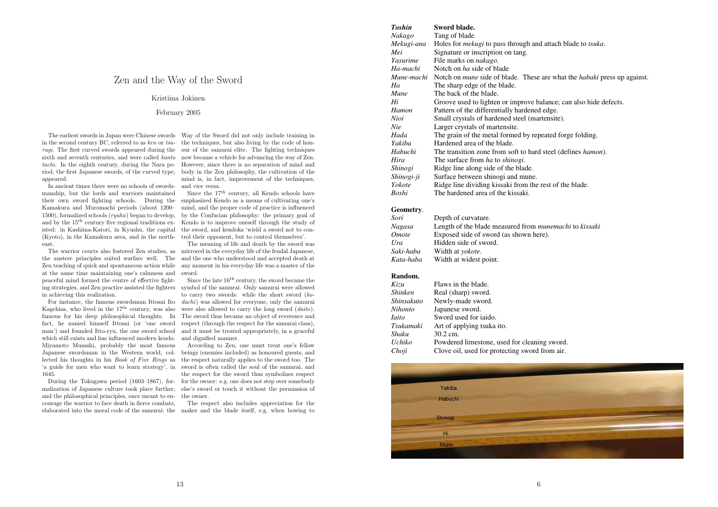# Zen and the Way of the Sword

# Kristiina Jokinen

# February <sup>2005</sup>

The earliest swords in Japan were Chinese swords Way of the Sword did not only include training in rugi. The first curved swords appeared during the sixth and seventh centuries, and were called kanto tachi. In the eighth century, during the Nara period, the first Japanese swords, of the curved type, appeared.

In ancie ancient times there were no schools of swords- manship, but the lords and warriors maintained their own sword fighting schools. During the Kamakura and Muromachi periods (about 1200–  $(1500)$ , formalized schools  $(ryuha)$  began to develop, and by the 15<sup>th</sup> century five regional traditions exand by the 15<sup>th</sup> century five regional traditions ex-<br>isted: in Kashima-Katori, in Kyushu, the capital (Kyoto), in the Kamakura area, and in the northeast.

 The warrior courts also fostered Zen studies, as the austere principles suited warfare well. The Zen teaching of quick and spontaneous action while at the same time maintaining one's calmness and peaceful mindin achieving this realization.

For instance, the famous swordsman Ittosai Ito Kagehisa, who lived in the  $17<sup>th</sup>$  century, was also famous for his deep <sup>p</sup>hilosophical thoughts. In fact, he named himself Ittosai (or 'one sword man') and founded Itto-ryu, the one sword school which still exists and has influenced modern kendo. Miyamoto Musashi, probably the most famous Japanese swordsmanJapanese swordsman in the Western world, collected his thoughts in his *Book of Five Rings* as 'a guide for men who want to learn strategy', in 1645.

 During the Tokugawa periodDuring the Tokugawa period (1603–1867), for-<br>malization of Japanese culture took place further, and the <sup>p</sup>hilosophical principles, once meant to encourage the warrior to face death in fierce combats, elaborated into the moral code of the samurai: the

in the second century BC, referred to as *ken* or  $tsu$ - the techniques, but also living by the code of honour of the samurai elite. The fighting techniques now became <sup>a</sup> vehicle for advancing the way of Zen. However, since there is no separation of mind and body in the Zen <sup>p</sup>hilosophy, the cultivation of the mind is, in fact, improvement of the techniques, and vice versa.

Since the  $17<sup>th</sup>$  century, all Kendo schools have emphasized Kendo as <sup>a</sup> means of cultivating one's mind, and the proper code of practice is influenced by the Confucian <sup>p</sup>hilosophy: the primary goa<sup>l</sup> of Kendo is to improve oneself through the study of the sword, and kendoka 'wield <sup>a</sup> sword not to control their opponent, but to control themselves'.

The meaning of life and death by the sword was mirrored in the everyday life of the feudal Japanese, and the one who understood and accepted death at any moment in his everyday life was <sup>a</sup> master of the sword.

peaceful mind formed the centre of effective fight-<br>ing strategies, and Zen practice assisted the fighters symbol of the samurai. Only samurai were allowed<br> Since the late  $16<sup>th</sup>$  century, the sword became the to carry two swords: while the short swordto carry two swords: while the short sword (*ko-dachi*) was allowed for everyone, only the samurai were also allowed to carry the long sword (daito). The sword thus became an object of reverence and respect (through the respect for the samurai class), and it must be treated appropriately, in <sup>a</sup> graceful and dignified manner.

According to Zen, one must treat one's fellow beings (enemies included) as honoured guests, and the respect naturally applies to the sword too. The sword is often called the soul of the samurai, and the respect for the sword thus symbolizes respect

for the owner: e.g. one does not step over somebody else's sword or touch it without the permission of the owner.

The respect also includes appreciation for the maker and the blade itself, e.g. when bowing to

| Toshin     | Sword blade.                                                                           |
|------------|----------------------------------------------------------------------------------------|
| Nakago     | Tang of blade                                                                          |
| Mekugi-ana | Holes for <i>mekugi</i> to pass through and attach blade to <i>tsuka</i> .             |
| Mei        | Signature or inscription on tang.                                                      |
| Yasurime   | File marks on <i>nakago</i> .                                                          |
| Ha-machi   | Notch on ha side of blade                                                              |
| Mune-machi | Notch on <i>mune</i> side of blade. These are what the <i>habaki</i> press up against. |
| Ha         | The sharp edge of the blade.                                                           |
| Mune       | The back of the blade.                                                                 |
| Hi         | Groove used to lighten or improve balance; can also hide defects.                      |
| Hamon      | Pattern of the differentially hardened edge.                                           |
| Nioi       | Small crystals of hardened steel (martensite).                                         |
| Nie        | Larger crystals of martensite.                                                         |
| Hada       | The grain of the metal formed by repeated forge folding.                               |
| Yakiba     | Hardened area of the blade.                                                            |
| Habuchi    | The transition zone from soft to hard steel (defines <i>hamon</i> ).                   |
| Hira       | The surface from ha to shinogi.                                                        |
| Shinogi    | Ridge line along side of the blade.                                                    |
| Shinogi-ji | Surface between shinogi and mune.                                                      |
| Yokote     | Ridge line dividing kissaki from the rest of the blade.                                |
| Boshi      | The hardened area of the kissaki.                                                      |
|            |                                                                                        |

#### Geometry.

| Sori          | Depth of curvature.                                    |
|---------------|--------------------------------------------------------|
| <b>Nagasa</b> | Length of the blade measured from munemachi to kissaki |
| <i>Omote</i>  | Exposed side of sword (as shown here).                 |
| Ura           | Hidden side of sword.                                  |
| Saki-haba     | Width at <i>vokote</i> .                               |
| Kata-haba     | Width at widest point.                                 |

#### Random.

| Kizu       | Flaws in the blade.                            |
|------------|------------------------------------------------|
| Shinken    | Real (sharp) sword.                            |
| Shinsakuto | Newly-made sword.                              |
| Nihonto    | Japanese sword.                                |
| Iaito      | Sword used for iaido.                          |
| Tsukamaki  | Art of applying tsuka ito.                     |
| Shaku      | $30.2 \text{ cm}$ .                            |
| Uchiko     | Powdered limestone, used for cleaning sword.   |
| Choji      | Clove oil, used for protecting sword from air. |
|            |                                                |

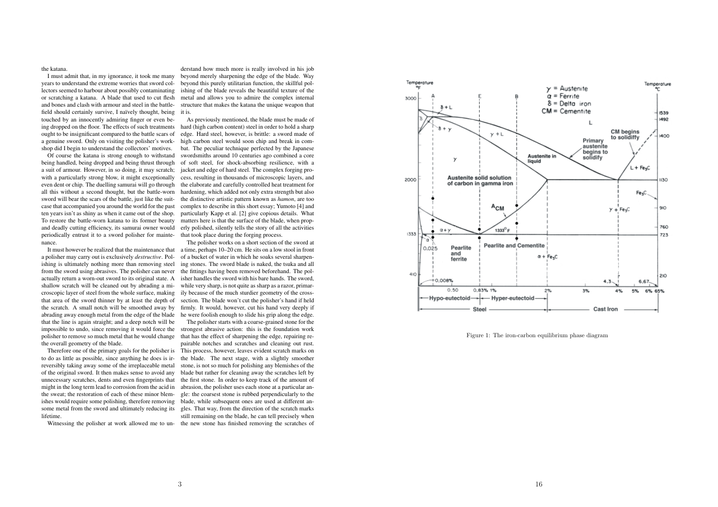#### the katana.

I must admit that, in my ignorance, it took me many years to understand the extreme worries that sword collectors seemed to harbour about possibly contaminating or scratching <sup>a</sup> katana. A blade that used to cut flesh and bones and clash with armour and steel in the battlefield should certainly survive, I naïvely thought, being touched by an innocently admiring finger or even being dropped on the floor. The effects of such treatments ought to be insignificant compare<sup>d</sup> to the battle scars of a genuine sword. Only on visiting the polisher's workshop did <sup>I</sup> begin to understand the collectors' motives.

Of course the katana is strong enoug<sup>h</sup> to withstand being handled, being dropped and being thrust through a suit of armour. However, in so doing, it may scratch; with <sup>a</sup> particularly strong blo w, it might exceptionally even dent or chip. The duelling samurai will go through all this without <sup>a</sup> second thought, but the battle-worn sword will bear the scars of the battle, just like the suitcase that accompanied you around the world for the pas<sup>t</sup> ten years isn't as shiny as when it came out of the shop. To restore the battle-worn katana to its former beauty and deadly cutting efficiency, its samurai owner would periodically entrust it to <sup>a</sup> sword polisher for maintenance.

 It must however be realized that the maintenance that a polisher may carry out is exclusively *destructive*. Polishing is ultimately nothing more than removing steel from the sword using abrasives. The polisher can never actually return <sup>a</sup> worn-out sword to its original state. A shallow scratch will be cleaned out by abrading <sup>a</sup> microscopic layer of steel from the whole surface, making that area of the sword thinner by at least the depth of the scratch. A small notch will be smoothed away by abrading away enough metal from the edge of the blade that the line is again straight; and <sup>a</sup> deep notch will be impossible to undo, since removing it would force the polisher to remove so much metal that hewould change the overall geometry of the blade.

Therefore one of the primary goals for the polisher is to do as little as possible, since anything he does is ir reversibly taking away some of the irreplaceable metal of the original sword. It then makes sense to avoid any unnecessary scratches, dents and even fingerprints that might in the long term lead to corrosion from the acid in the sweat; the restoration of each of these minor blemishes would require some polishing, therefore removing some metal from the sword and ultimately reducing its lifetime.

Witnessing the polisher at work allowed me to un-<br>the new stone has finished removing the scratches of

derstand ho w much more is really involved in his job beyond merely sharpening the edge of the blade. Way beyond this purely utilitarian function, the skillful polishing of the blade reveals the beautiful texture of the metal and allows you to admire the complex internal structure that makes the katana the unique weapon that it is.

As previously mentioned, the blade must be made of hard (high carbon content) steel in order to hold <sup>a</sup> sharp edge. Hard steel, however, is brittle: <sup>a</sup> sword made of high carbon steel would soon chip and break in combat. The peculiar technique perfected by the Japanese swordsmiths around <sup>10</sup> centuries ago combined <sup>a</sup> core of soft steel, for shock-absorbing resilience, with <sup>a</sup> jacket and edge of hard steel. The complex forging process, resulting in thousands of microscopic layers, and the elaborate and carefully controlled heat treatment for hardening, which added not only extra strength but also the distinctive artistic pattern known as *hamon*, are too complex to describe in this short essay; Yumoto [4] and particularly Kapp et al. [2] <sup>g</sup>ive copious details. What matters here is that the surface of the blade, when properly polished, silently tells the story of all the activities that took <sup>p</sup>lace during the forging process.

The polisher works on <sup>a</sup> short section of the sword at a time, perhaps 10–20 cm. He sits on <sup>a</sup> lo w stool in front of <sup>a</sup> bucket of water in which he soaks several sharpening stones. The sword blade is naked, the tsuka and all the fittings having been removed beforehand. The polisher handles the sword with his bare hands. The sword, while very sharp, is not quite as sharp as <sup>a</sup> razor, primar ily because of the much sturdier geometry of the crosssection. The blade won't cut the polisher's hand if held firmly. It would, however, cut his hand very deeply if he were foolish enoug<sup>h</sup> to slide his grip along the edge.

The polisher starts with <sup>a</sup> coarse-grained stone for the strongest abrasive action: this is the foundation work that has the effect of sharpening the edge, repairing repairable notches and scratches and cleaning out rust. This process, however, leaves evident scratch marks on the blade. The next stage, with <sup>a</sup> slightly smoother stone, is not so much for polishing any blemishes of the blade but rather for cleaning away the scratches left by the first stone. In order to keep track of the amount of abrasion, the polisher uses each stone at <sup>a</sup> particular an-

blade, while subsequent ones are used at different angles. That way, from the direction of the scratch marks still remaining on the blade, he can tell precisely when

gle: the coarsest stone is rubbed perpendicularly to the



Figure 1: The iron-carbon equilibrium <sup>p</sup>hase diagram